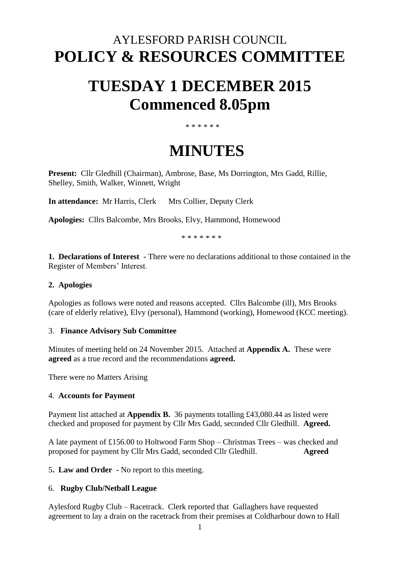## AYLESFORD PARISH COUNCIL **POLICY & RESOURCES COMMITTEE**

# **TUESDAY 1 DECEMBER 2015 Commenced 8.05pm**

#### \* \* \* \* \* \*

## **MINUTES**

**Present:** Cllr Gledhill (Chairman), Ambrose, Base, Ms Dorrington, Mrs Gadd, Rillie, Shelley, Smith, Walker, Winnett, Wright

**In attendance:** Mr Harris, Clerk Mrs Collier, Deputy Clerk

**Apologies:** Cllrs Balcombe, Mrs Brooks, Elvy, Hammond, Homewood

\* \* \* \* \* \* \*

**1. Declarations of Interest -** There were no declarations additional to those contained in the Register of Members' Interest.

#### **2. Apologies**

Apologies as follows were noted and reasons accepted. Cllrs Balcombe (ill), Mrs Brooks (care of elderly relative), Elvy (personal), Hammond (working), Homewood (KCC meeting).

#### 3. **Finance Advisory Sub Committee**

Minutes of meeting held on 24 November 2015. Attached at **Appendix A.** These were **agreed** as a true record and the recommendations **agreed.**

There were no Matters Arising

#### 4. **Accounts for Payment**

Payment list attached at **Appendix B.** 36 payments totalling £43,080.44 as listed were checked and proposed for payment by Cllr Mrs Gadd, seconded Cllr Gledhill. **Agreed.**

A late payment of £156.00 to Holtwood Farm Shop – Christmas Trees – was checked and proposed for payment by Cllr Mrs Gadd, seconded Cllr Gledhill. **Agreed** 

5**. Law and Order -** No report to this meeting.

#### 6. **Rugby Club/Netball League**

Aylesford Rugby Club – Racetrack. Clerk reported that Gallaghers have requested agreement to lay a drain on the racetrack from their premises at Coldharbour down to Hall